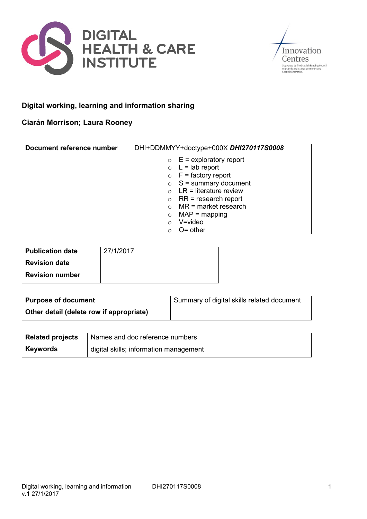



# **Digital working, learning and information sharing**

### **Ciarán Morrison; Laura Rooney**

| Document reference number | DHI+DDMMYY+doctype+000X DHI270117S0008 |
|---------------------------|----------------------------------------|
|                           | $E =$ exploratory report<br>$\circ$    |
|                           | $\circ$ L = lab report                 |
|                           | $\circ$ F = factory report             |
|                           | $\circ$ S = summary document           |
|                           | $\circ$ LR = literature review         |
|                           | $RR = research report$<br>$\circ$      |
|                           | $MR = market research$                 |
|                           | $MAP = mapping$<br>$\circ$             |
|                           | $V = video$<br>$\Omega$                |
|                           | $O =$ other<br>$\bigcirc$              |

| <b>Publication date</b> | 27/1/2017 |
|-------------------------|-----------|
| <b>Revision date</b>    |           |
| <b>Revision number</b>  |           |

| <b>Purpose of document</b>               | <sup>1</sup> Summary of digital skills related document |
|------------------------------------------|---------------------------------------------------------|
| Other detail (delete row if appropriate) |                                                         |

| <b>Related projects</b> | Names and doc reference numbers        |
|-------------------------|----------------------------------------|
| <b>Keywords</b>         | digital skills; information management |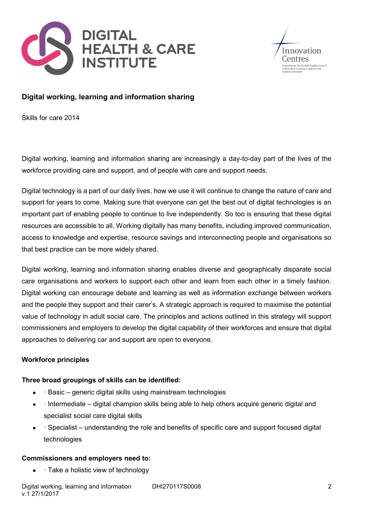



## **Digital working, learning and information sharing**

Skills for care 2014

Digital working, learning and information sharing are increasingly a day-to-day part of the lives of the workforce providing care and support, and of people with care and support needs.

Digital technology is a part of our daily lives, how we use it will continue to change the nature of care and support for years to come. Making sure that everyone can get the best out of digital technologies is an important part of enabling people to continue to live independently. So too is ensuring that these digital resources are accessible to all. Working digitally has many benefits, including improved communication, access to knowledge and expertise, resource savings and interconnecting people and organisations so that best practice can be more widely shared.

Digital working, learning and information sharing enables diverse and geographically disparate social care organisations and workers to support each other and learn from each other in a timely fashion. Digital working can encourage debate and learning as well as information exchange between workers and the people they support and their carer's. A strategic approach is required to maximise the potential value of technology in adult social care. The principles and actions outlined in this strategy will support commissioners and employers to develop the digital capability of their workforces and ensure that digital approaches to delivering car and support are open to everyone.

### **Workforce principles**

### **Three broad groupings of skills can be identified:**

- · Basic generic digital skills using mainstream technologies
- · Intermediate digital champion skills being able to help others acquire generic digital and specialist social care digital skills
- · Specialist understanding the role and benefits of specific care and support focused digital technologies

#### **Commissioners and employers need to:**

· Take a holistic view of technology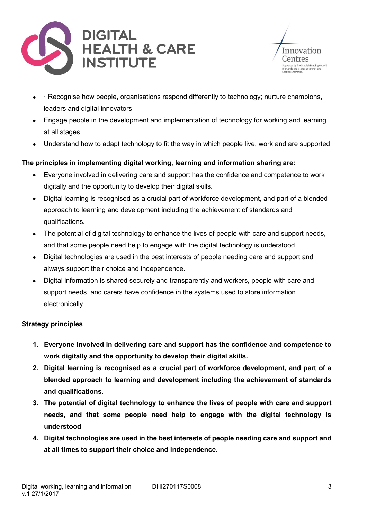



- · Recognise how people, organisations respond differently to technology; nurture champions, leaders and digital innovators
- Engage people in the development and implementation of technology for working and learning at all stages
- Understand how to adapt technology to fit the way in which people live, work and are supported

### **The principles in implementing digital working, learning and information sharing are:**

- Everyone involved in delivering care and support has the confidence and competence to work digitally and the opportunity to develop their digital skills.
- Digital learning is recognised as a crucial part of workforce development, and part of a blended approach to learning and development including the achievement of standards and qualifications.
- The potential of digital technology to enhance the lives of people with care and support needs, and that some people need help to engage with the digital technology is understood.
- Digital technologies are used in the best interests of people needing care and support and always support their choice and independence.
- Digital information is shared securely and transparently and workers, people with care and support needs, and carers have confidence in the systems used to store information electronically.

### **Strategy principles**

- **1. Everyone involved in delivering care and support has the confidence and competence to work digitally and the opportunity to develop their digital skills.**
- **2. Digital learning is recognised as a crucial part of workforce development, and part of a blended approach to learning and development including the achievement of standards and qualifications.**
- **3. The potential of digital technology to enhance the lives of people with care and support needs, and that some people need help to engage with the digital technology is understood**
- **4. Digital technologies are used in the best interests of people needing care and support and at all times to support their choice and independence.**